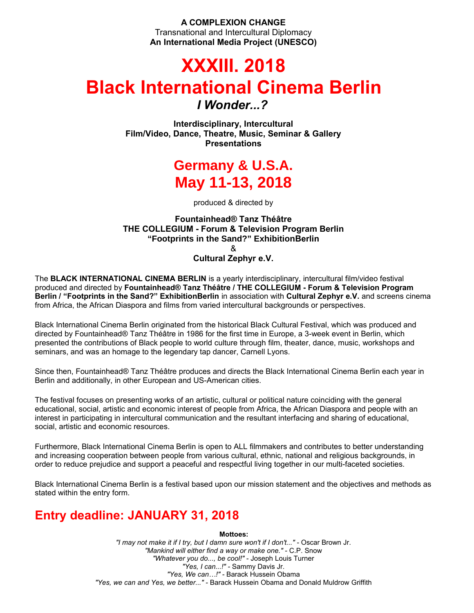**A COMPLEXION CHANGE** Transnational and Intercultural Diplomacy **An International Media Project (UNESCO)**

# **XXXIII. 2018 Black International Cinema Berlin**

*I Wonder...?*

**Interdisciplinary, Intercultural Film/Video, Dance, Theatre, Music, Seminar & Gallery Presentations**

# **Germany & U.S.A. May 11-13, 2018**

produced & directed by

### **Fountainhead® Tanz Théâtre THE COLLEGIUM - Forum & Television Program Berlin "Footprints in the Sand?" ExhibitionBerlin** &

**Cultural Zephyr e.V.**

The **BLACK INTERNATIONAL CINEMA BERLIN** is a yearly interdisciplinary, intercultural film/video festival produced and directed by **Fountainhead® Tanz Théâtre / THE COLLEGIUM - Forum & Television Program Berlin / "Footprints in the Sand?" ExhibitionBerlin** in association with **Cultural Zephyr e.V.** and screens cinema from Africa, the African Diaspora and films from varied intercultural backgrounds or perspectives.

Black International Cinema Berlin originated from the historical Black Cultural Festival, which was produced and directed by Fountainhead® Tanz Théâtre in 1986 for the first time in Europe, a 3-week event in Berlin, which presented the contributions of Black people to world culture through film, theater, dance, music, workshops and seminars, and was an homage to the legendary tap dancer, Carnell Lyons.

Since then, Fountainhead® Tanz Théâtre produces and directs the Black International Cinema Berlin each year in Berlin and additionally, in other European and US-American cities.

The festival focuses on presenting works of an artistic, cultural or political nature coinciding with the general educational, social, artistic and economic interest of people from Africa, the African Diaspora and people with an interest in participating in intercultural communication and the resultant interfacing and sharing of educational, social, artistic and economic resources.

Furthermore, Black International Cinema Berlin is open to ALL filmmakers and contributes to better understanding and increasing cooperation between people from various cultural, ethnic, national and religious backgrounds, in order to reduce prejudice and support a peaceful and respectful living together in our multi-faceted societies.

Black International Cinema Berlin is a festival based upon our mission statement and the objectives and methods as stated within the entry form.

## **Entry deadline: JANUARY 31, 2018**

**Mottoes:**

*"I may not make it if I try, but I damn sure won't if I don't..."* - Oscar Brown Jr. *"Mankind will either find a way or make one." -* C.P. Snow *"Whatever you do..., be cool!" -* Joseph Louis Turner *"Yes, I can...!" -* Sammy Davis Jr. *"Yes, We can…!" -* Barack Hussein Obama *"Yes, we can and Yes, we better..." -* Barack Hussein Obama and Donald Muldrow Griffith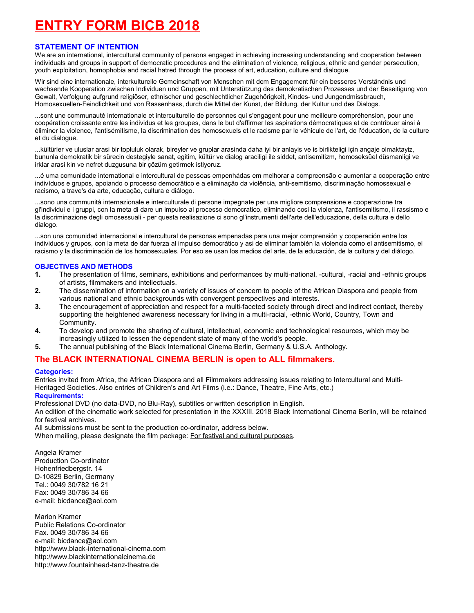# **ENTRY FORM BICB 2018**

#### **STATEMENT OF INTENTION**

We are an international, intercultural community of persons engaged in achieving increasing understanding and cooperation between individuals and groups in support of democratic procedures and the elimination of violence, religious, ethnic and gender persecution, youth exploitation, homophobia and racial hatred through the process of art, education, culture and dialogue.

Wir sind eine internationale, interkulturelle Gemeinschaft von Menschen mit dem Engagement für ein besseres Verständnis und wachsende Kooperation zwischen Individuen und Gruppen, mit Unterstützung des demokratischen Prozesses und der Beseitigung von Gewalt, Verfolgung aufgrund religiöser, ethnischer und geschlechtlicher Zugehörigkeit, Kindes- und Jungendmissbrauch, Homosexuellen-Feindlichkeit und von Rassenhass, durch die Mittel der Kunst, der Bildung, der Kultur und des Dialogs.

...sont une communauté internationale et interculturelle de personnes qui s'engagent pour une meilleure compréhension, pour une coopération croissante entre les individus et les groupes, dans le but d'affirmer les aspirations démocratiques et de contribuer ainsi à éliminer la violence, l'antisémitisme, la discrimination des homosexuels et le racisme par le véhicule de l'art, de l'éducation, de la culture et du dialogue.

...kültürler ve uluslar arasi bir topluluk olarak, bireyler ve gruplar arasinda daha iyi bir anlayis ve is birlikteligi için angaje olmaktayiz, bununla demokratik bir sürecin destegiyle sanat, egitim, kültür ve dialog araciligi ile siddet, antisemitizm, homoseksüel düsmanligi ve irklar arasi kin ve nefret duzgusuna bir çözüm getirmek istiyoruz.

...é uma comunidade international e intercultural de pessoas empenhádas em melhorar a compreensão e aumentar a cooperação entre indivíduos e grupos, apoiando o processo democrãtico e a eliminação da violência, anti-semitismo, discriminação homossexual e racismo, a trave's da arte, educação, cultura e diálogo.

...sono una communità internazionale e interculturale di persone impegnate per una migliore comprensione e cooperazione tra gl'individui e i gruppi, con la meta di dare un impulso al processo democratico, eliminando cosi la violenza, l'antisemitismo, il rassismo e la discriminazione degli omosessuali - per questa realisazione ci sono gl'instrumenti dell'arte dell'educazione, della cultura e dello dialogo.

...son una comunidad internacional e intercultural de personas empenadas para una mejor comprensión y cooperación entre los individuos y grupos, con la meta de dar fuerza al impulso democrático y asi de eliminar también la violencia como el antisemitismo, el racismo y la discriminación de los homosexuales. Por eso se usan los medios del arte, de la educación, de la cultura y del diálogo.

#### **OBJECTIVES AND METHODS**

- **1.** The presentation of films, seminars, exhibitions and performances by multi-national, -cultural, -racial and -ethnic groups of artists, filmmakers and intellectuals.
- **2.** The dissemination of information on a variety of issues of concern to people of the African Diaspora and people from various national and ethnic backgrounds with convergent perspectives and interests.
- **3.** The encouragement of appreciation and respect for a multi-faceted society through direct and indirect contact, thereby supporting the heightened awareness necessary for living in a multi-racial, -ethnic World, Country, Town and Community.
- **4.** To develop and promote the sharing of cultural, intellectual, economic and technological resources, which may be increasingly utilized to lessen the dependent state of many of the world's people.
- **5.** The annual publishing of the Black International Cinema Berlin, Germany & U.S.A. Anthology.

### **The BLACK INTERNATIONAL CINEMA BERLIN is open to ALL filmmakers.**

#### **Categories:**

Entries invited from Africa, the African Diaspora and all Filmmakers addressing issues relating to Intercultural and Multi-Heritaged Societies. Also entries of Children's and Art Films (i.e.: Dance, Theatre, Fine Arts, etc.) **Requirements:**

Professional DVD (no data-DVD, no Blu-Ray), subtitles or written description in English.

An edition of the cinematic work selected for presentation in the XXXIII. 2018 Black International Cinema Berlin, will be retained for festival archives.

All submissions must be sent to the production co-ordinator, address below.

When mailing, please designate the film package: For festival and cultural purposes.

Angela Kramer Production Co-ordinator Hohenfriedbergstr. 14 D-10829 Berlin, Germany Tel.: 0049 30/782 16 21 Fax: 0049 30/786 34 66 e-mail: bicdance@aol.com

Marion Kramer Public Relations Co-ordinator Fax. 0049 30/786 34 66 e-mail: bicdance@aol.com http://www.black-international-cinema.com http://www.blackinternationalcinema.de http://www.fountainhead-tanz-theatre.de